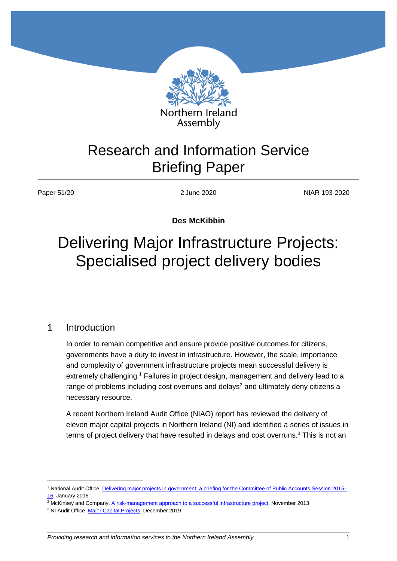

## Research and Information Service Briefing Paper

Paper 51/20 2 June 2020 2 June 2020

**Des McKibbin**

# Delivering Major Infrastructure Projects: Specialised project delivery bodies

## 1 Introduction

 $\overline{a}$ 

In order to remain competitive and ensure provide positive outcomes for citizens, governments have a duty to invest in infrastructure. However, the scale, importance and complexity of government infrastructure projects mean successful delivery is extremely challenging.<sup>1</sup> Failures in project design, management and delivery lead to a range of problems including cost overruns and delays<sup>2</sup> and ultimately deny citizens a necessary resource.

A recent Northern Ireland Audit Office (NIAO) report has reviewed the delivery of eleven major capital projects in Northern Ireland (NI) and identified a series of issues in terms of project delivery that have resulted in delays and cost overruns.<sup>3</sup> This is not an

<sup>&</sup>lt;sup>1</sup> National Audit Office, [Delivering major projects in government: a briefing for the Committee of Public Accounts Session 2015–](https://www.nao.org.uk/wp-content/uploads/2016/01/Delivering-major-projects-in-government-a-briefing-for-the-Committee-of-Public-Accounts.pdf) [16,](https://www.nao.org.uk/wp-content/uploads/2016/01/Delivering-major-projects-in-government-a-briefing-for-the-Committee-of-Public-Accounts.pdf) January 2016

<sup>2</sup> McKinsey and Company, [A risk-management approach to a successful infrastructure project,](https://www.mckinsey.com/industries/capital-projects-and-infrastructure/our-insights/a-risk-management-approach-to-a-successful-infrastructure-project) November 2013

<sup>&</sup>lt;sup>3</sup> NI Audit Office, [Major Capital Projects,](https://www.niauditoffice.gov.uk/publications/major-capital-projects-0) December 2019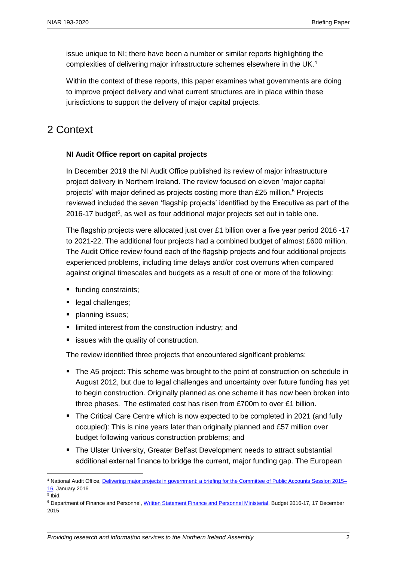issue unique to NI; there have been a number or similar reports highlighting the complexities of delivering major infrastructure schemes elsewhere in the UK.<sup>4</sup>

Within the context of these reports, this paper examines what governments are doing to improve project delivery and what current structures are in place within these jurisdictions to support the delivery of major capital projects.

## 2 Context

#### **NI Audit Office report on capital projects**

In December 2019 the NI Audit Office published its review of major infrastructure project delivery in Northern Ireland. The review focused on eleven 'major capital projects' with major defined as projects costing more than £25 million.<sup>5</sup> Projects reviewed included the seven 'flagship projects' identified by the Executive as part of the 2016-17 budget<sup>6</sup>, as well as four additional major projects set out in table one.

The flagship projects were allocated just over £1 billion over a five year period 2016 -17 to 2021-22. The additional four projects had a combined budget of almost £600 million. The Audit Office review found each of the flagship projects and four additional projects experienced problems, including time delays and/or cost overruns when compared against original timescales and budgets as a result of one or more of the following:

- **funding constraints;**
- legal challenges;
- **planning issues;**
- **I** limited interest from the construction industry; and
- $\blacksquare$  issues with the quality of construction.

The review identified three projects that encountered significant problems:

- The A5 project: This scheme was brought to the point of construction on schedule in August 2012, but due to legal challenges and uncertainty over future funding has yet to begin construction. Originally planned as one scheme it has now been broken into three phases. The estimated cost has risen from £700m to over £1 billion.
- The Critical Care Centre which is now expected to be completed in 2021 (and fully occupied): This is nine years later than originally planned and £57 million over budget following various construction problems; and
- The Ulster University, Greater Belfast Development needs to attract substantial additional external finance to bridge the current, major funding gap. The European

<sup>4</sup> National Audit Office, [Delivering major projects in government: a briefing for the Committee of Public Accounts Session 2015–](https://www.nao.org.uk/wp-content/uploads/2016/01/Delivering-major-projects-in-government-a-briefing-for-the-Committee-of-Public-Accounts.pdf) [16,](https://www.nao.org.uk/wp-content/uploads/2016/01/Delivering-major-projects-in-government-a-briefing-for-the-Committee-of-Public-Accounts.pdf) January 2016

<sup>5</sup> Ibid.

<sup>6</sup> Department of Finance and Personnel[, Written Statement Finance and Personnel Ministerial,](http://www.niassembly.gov.uk/assembly-business/official-report/written-ministerial-statements-2011-2016/department-of-finance-and-personnel--budget-2016-17/) Budget 2016-17, 17 December 2015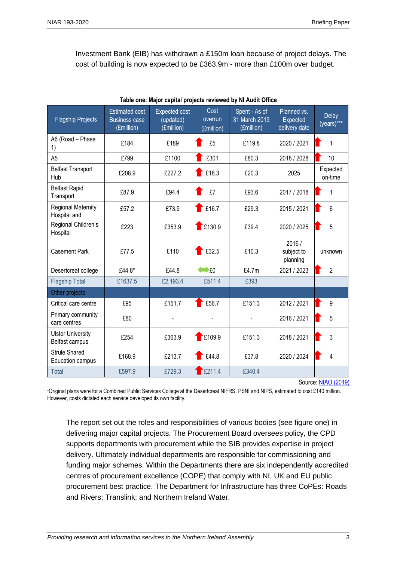Investment Bank (EIB) has withdrawn a £150m loan because of project delays. The cost of building is now expected to be £363.9m - more than £100m over budget.

| <b>Flagship Projects</b>                   | <b>Estimated cost</b><br><b>Business case</b><br>(£million) | <b>Expected cost</b><br>(updated)<br>(£million) | Cost<br>overrun<br>(£million) | Spent - As of<br>31 March 2019<br>(£million) | Planned vs.<br><b>Expected</b><br>delivery date | Delay<br>(years)*** |
|--------------------------------------------|-------------------------------------------------------------|-------------------------------------------------|-------------------------------|----------------------------------------------|-------------------------------------------------|---------------------|
| A6 (Road - Phase<br>1)                     | £184                                                        | £189                                            | £5                            | £119.8                                       | 2020 / 2021                                     | 1                   |
| A <sub>5</sub>                             | £799                                                        | £1100                                           | £301                          | £80.3                                        | 2018 / 2028                                     | 10                  |
| <b>Belfast Transport</b><br>Hub            | £208.9                                                      | £227.2                                          | £18.3                         | £20.3                                        | 2025                                            | Expected<br>on-time |
| <b>Belfast Rapid</b><br>Transport          | £87.9                                                       | £94.4                                           | £7                            | £93.6                                        | 2017 / 2018                                     | $\mathbf{1}$        |
| <b>Regional Maternity</b><br>Hospital and  | £57.2                                                       | £73.9                                           | £16.7                         | £29.3                                        | 2015 / 2021                                     | 6                   |
| Regional Children's<br>Hospital            | £223                                                        | £353.9                                          | $\Gamma$ £130.9               | £39.4                                        | 2020 / 2025                                     | 5                   |
| <b>Casement Park</b>                       | £77.5                                                       | £110                                            | £32.5                         | £10.3                                        | 2016/<br>subject to<br>planning                 | unknown             |
| Desertcreat college                        | £44.8*                                                      | £44.8                                           | $\bigoplus$ £0                | £4.7m                                        | 2021 / 2023                                     | $\overline{2}$      |
| <b>Flagship Total</b>                      | £1637.5                                                     | £2,193.4                                        | £511.4                        | £393                                         |                                                 |                     |
| Other projects                             |                                                             |                                                 |                               |                                              |                                                 |                     |
| Critical care centre                       | £95                                                         | £151.7                                          | £56.7                         | £151.3                                       | 2012 / 2021                                     | 9                   |
| Primary community<br>care centres          | £80                                                         |                                                 |                               |                                              | 2016 / 2021                                     | 5                   |
| <b>Ulster University</b><br>Belfast campus | £254                                                        | £363.9                                          | $\Gamma$ £109.9               | £151.3                                       | 2018 / 2021                                     | 3                   |
| <b>Strule Shared</b><br>Education campus   | £168.9                                                      | £213.7                                          | £44.8                         | £37.8                                        | 2020 / 2024                                     | 4                   |
| <b>Total</b>                               | £597.9                                                      | £729.3                                          | E211.4                        | £340.4                                       |                                                 |                     |

**Table one: Major capital projects reviewed by NI Audit Office**

Source[: NIAO \(2019\)](https://www.niauditoffice.gov.uk/publications/major-capital-projects-0)

\*Original plans were for a Combined Public Services College at the Desertcreat NIFRS, PSNI and NIPS, estimated to cost £140 million. However, costs dictated each service developed its own facility.

The report set out the roles and responsibilities of various bodies (see figure one) in delivering major capital projects. The Procurement Board oversees policy, the CPD supports departments with procurement while the SIB provides expertise in project delivery. Ultimately individual departments are responsible for commissioning and funding major schemes. Within the Departments there are six independently accredited centres of procurement excellence (COPE) that comply with NI, UK and EU public procurement best practice. The Department for Infrastructure has three CoPEs: Roads and Rivers; Translink; and Northern Ireland Water.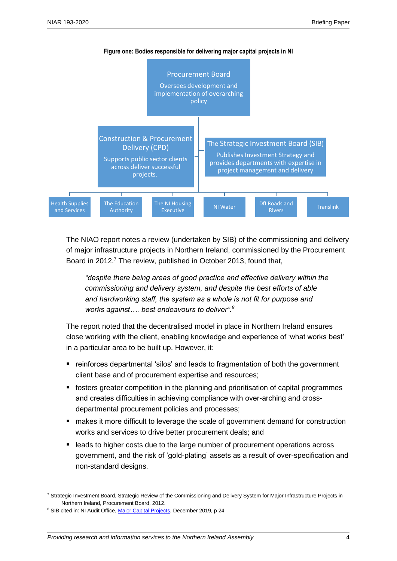

The NIAO report notes a review (undertaken by SIB) of the commissioning and delivery of major infrastructure projects in Northern Ireland, commissioned by the Procurement Board in 2012. <sup>7</sup> The review, published in October 2013, found that,

*"despite there being areas of good practice and effective delivery within the commissioning and delivery system, and despite the best efforts of able and hardworking staff, the system as a whole is not fit for purpose and works against…. best endeavours to deliver".<sup>8</sup>*

The report noted that the decentralised model in place in Northern Ireland ensures close working with the client, enabling knowledge and experience of 'what works best' in a particular area to be built up. However, it:

- reinforces departmental 'silos' and leads to fragmentation of both the government client base and of procurement expertise and resources;
- fosters greater competition in the planning and prioritisation of capital programmes and creates difficulties in achieving compliance with over-arching and crossdepartmental procurement policies and processes;
- makes it more difficult to leverage the scale of government demand for construction works and services to drive better procurement deals; and
- leads to higher costs due to the large number of procurement operations across government, and the risk of 'gold-plating' assets as a result of over-specification and non-standard designs.

<sup>7</sup> Strategic Investment Board, Strategic Review of the Commissioning and Delivery System for Major Infrastructure Projects in Northern Ireland, Procurement Board, 2012.

<sup>&</sup>lt;sup>8</sup> SIB cited in: NI Audit Office, [Major Capital Projects,](https://www.niauditoffice.gov.uk/publications/major-capital-projects-0) December 2019, p 24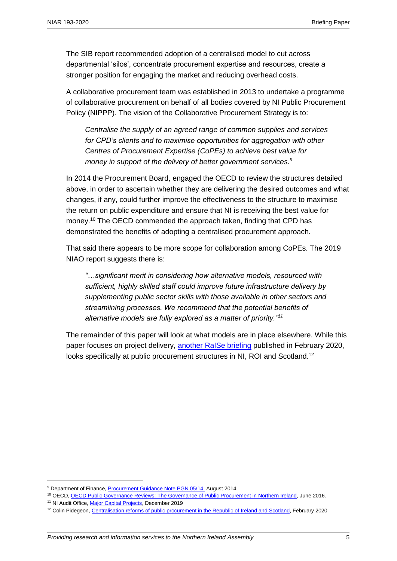The SIB report recommended adoption of a centralised model to cut across departmental 'silos', concentrate procurement expertise and resources, create a stronger position for engaging the market and reducing overhead costs.

A collaborative procurement team was established in 2013 to undertake a programme of collaborative procurement on behalf of all bodies covered by NI Public Procurement Policy (NIPPP). The vision of the Collaborative Procurement Strategy is to:

*Centralise the supply of an agreed range of common supplies and services for CPD's clients and to maximise opportunities for aggregation with other Centres of Procurement Expertise (CoPEs) to achieve best value for money in support of the delivery of better government services.<sup>9</sup>*

In 2014 the Procurement Board, engaged the OECD to review the structures detailed above, in order to ascertain whether they are delivering the desired outcomes and what changes, if any, could further improve the effectiveness to the structure to maximise the return on public expenditure and ensure that NI is receiving the best value for money.<sup>10</sup> The OECD commended the approach taken, finding that CPD has demonstrated the benefits of adopting a centralised procurement approach.

That said there appears to be more scope for collaboration among CoPEs. The 2019 NIAO report suggests there is:

*"…significant merit in considering how alternative models, resourced with sufficient, highly skilled staff could improve future infrastructure delivery by supplementing public sector skills with those available in other sectors and streamlining processes. We recommend that the potential benefits of alternative models are fully explored as a matter of priority." 11*

The remainder of this paper will look at what models are in place elsewhere. While this paper focuses on project delivery, another [RaISe briefing](https://www.audit-scotland.gov.uk/report/privately-financed-infrastructure-investment-the-non-profit-distributing-npd-and-hub-models) published in February 2020, looks specifically at public procurement structures in NI, ROI and Scotland.<sup>12</sup>

<sup>&</sup>lt;sup>9</sup> Department of Finance[, Procurement Guidance Note PGN 05/14,](https://www.finance-ni.gov.uk/sites/default/files/publications/dfp/PGN-05-14-Collaborative-Procurement-%28pdf%20version%29.PDF) August 2014.

<sup>10</sup> OECD[, OECD Public Governance Reviews: The Governance of Public Procurement in Northern Ireland,](https://read.oecd-ilibrary.org/governance/northern-ireland-united-kingdom-implementing-joined-up-governance-for-a-common-purpose/the-governance-of-public-procurement-in-northern-ireland_9789264260016-14-en#page3) June 2016.

<sup>&</sup>lt;sup>11</sup> NI Audit Office[, Major Capital Projects,](https://www.niauditoffice.gov.uk/publications/major-capital-projects-0) December 2019

<sup>&</sup>lt;sup>12</sup> Colin Pidegeon[, Centralisation reforms of public procurement in the Republic of Ireland and Scotland,](file:///C:/Users/lockdown/AppData/Local/Microsoft/Windows/INetCache/IE/QVKFJR99/tralisation%20reforms%20of%20public%20procurement%20in%20the%20Republic%20of%20Ireland%20and%20Scotland) February 2020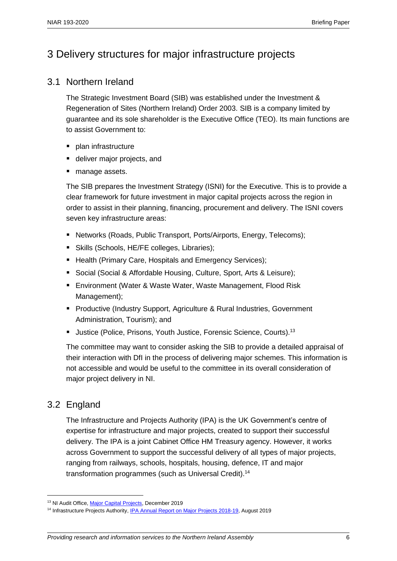## 3 Delivery structures for major infrastructure projects

### 3.1 Northern Ireland

The Strategic Investment Board (SIB) was established under the Investment & Regeneration of Sites (Northern Ireland) Order 2003. SIB is a company limited by guarantee and its sole shareholder is the Executive Office (TEO). Its main functions are to assist Government to:

- plan infrastructure
- deliver major projects, and
- manage assets.

The SIB prepares the Investment Strategy (ISNI) for the Executive. This is to provide a clear framework for future investment in major capital projects across the region in order to assist in their planning, financing, procurement and delivery. The ISNI covers seven key infrastructure areas:

- Networks (Roads, Public Transport, Ports/Airports, Energy, Telecoms);
- Skills (Schools, HE/FE colleges, Libraries);
- **Health (Primary Care, Hospitals and Emergency Services);**
- **Social (Social & Affordable Housing, Culture, Sport, Arts & Leisure);**
- Environment (Water & Waste Water, Waste Management, Flood Risk Management);
- **Productive (Industry Support, Agriculture & Rural Industries, Government** Administration, Tourism); and
- Uustice (Police, Prisons, Youth Justice, Forensic Science, Courts).<sup>13</sup>

The committee may want to consider asking the SIB to provide a detailed appraisal of their interaction with DfI in the process of delivering major schemes. This information is not accessible and would be useful to the committee in its overall consideration of major project delivery in NI.

## 3.2 England

 $\overline{a}$ 

The Infrastructure and Projects Authority (IPA) is the UK Government's centre of expertise for infrastructure and major projects, created to support their successful delivery. The IPA is a joint Cabinet Office HM Treasury agency. However, it works across Government to support the successful delivery of all types of major projects, ranging from railways, schools, hospitals, housing, defence, IT and major transformation programmes (such as Universal Credit).<sup>14</sup>

<sup>&</sup>lt;sup>13</sup> NI Audit Office[, Major Capital Projects,](https://www.niauditoffice.gov.uk/publications/major-capital-projects-0) December 2019

<sup>&</sup>lt;sup>14</sup> Infrastructure Projects Authority, [IPA Annual Report on Major Projects 2018-19,](https://assets.publishing.service.gov.uk/government/uploads/system/uploads/attachment_data/file/817654/IPA_AR_MajorProjects2018-19_web.pdf) August 2019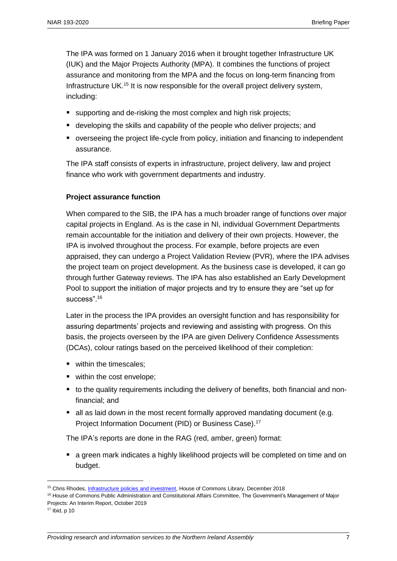The IPA was formed on 1 January 2016 when it brought together Infrastructure UK (IUK) and the Major Projects Authority (MPA). It combines the functions of project assurance and monitoring from the MPA and the focus on long-term financing from Infrastructure UK.<sup>15</sup> It is now responsible for the overall project delivery system, including:

- supporting and de-risking the most complex and high risk projects;
- developing the skills and capability of the people who deliver projects; and
- overseeing the project life-cycle from policy, initiation and financing to independent assurance.

The IPA staff consists of experts in infrastructure, project delivery, law and project finance who work with government departments and industry.

#### **Project assurance function**

When compared to the SIB, the IPA has a much broader range of functions over major capital projects in England. As is the case in NI, individual Government Departments remain accountable for the initiation and delivery of their own projects. However, the IPA is involved throughout the process. For example, before projects are even appraised, they can undergo a Project Validation Review (PVR), where the IPA advises the project team on project development. As the business case is developed, it can go through further Gateway reviews. The IPA has also established an Early Development Pool to support the initiation of major projects and try to ensure they are "set up for success".<sup>16</sup>

Later in the process the IPA provides an oversight function and has responsibility for assuring departments' projects and reviewing and assisting with progress. On this basis, the projects overseen by the IPA are given Delivery Confidence Assessments (DCAs), colour ratings based on the perceived likelihood of their completion:

- within the timescales:
- within the cost envelope;
- to the quality requirements including the delivery of benefits, both financial and nonfinancial; and
- all as laid down in the most recent formally approved mandating document (e.g. Project Information Document (PID) or Business Case).<sup>17</sup>

The IPA's reports are done in the RAG (red, amber, green) format:

 a green mark indicates a highly likelihood projects will be completed on time and on budget.

<sup>15</sup> Chris Rhodes[, Infrastructure policies and investment,](https://researchbriefings.files.parliament.uk/documents/SN06594/SN06594.pdf) House of Commons Library, December 2018

<sup>&</sup>lt;sup>16</sup> House of Commons Public Administration and Constitutional Affairs Committee, The Government's Management of Major Projects: An Interim Report, October 2019

<sup>17</sup> Ibid, p 10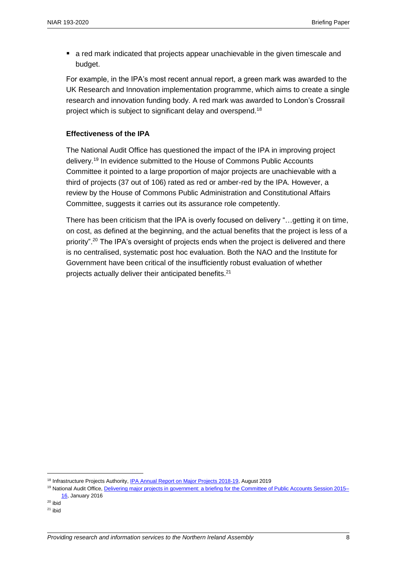**E** a red mark indicated that projects appear unachievable in the given timescale and budget.

For example, in the IPA's most recent annual report, a green mark was awarded to the UK Research and Innovation implementation programme, which aims to create a single research and innovation funding body. A red mark was awarded to London's Crossrail project which is subject to significant delay and overspend.<sup>18</sup>

#### **Effectiveness of the IPA**

The National Audit Office has questioned the impact of the IPA in improving project delivery.<sup>19</sup> In evidence submitted to the House of Commons Public Accounts Committee it pointed to a large proportion of major projects are unachievable with a third of projects (37 out of 106) rated as red or amber-red by the IPA. However, a review by the House of Commons Public Administration and Constitutional Affairs Committee, suggests it carries out its assurance role competently.

There has been criticism that the IPA is overly focused on delivery "…getting it on time, on cost, as defined at the beginning, and the actual benefits that the project is less of a priority".<sup>20</sup> The IPA's oversight of projects ends when the project is delivered and there is no centralised, systematic post hoc evaluation. Both the NAO and the Institute for Government have been critical of the insufficiently robust evaluation of whether projects actually deliver their anticipated benefits.<sup>21</sup>

<sup>&</sup>lt;sup>18</sup> Infrastructure Projects Authority, [IPA Annual Report on Major Projects 2018-19,](https://assets.publishing.service.gov.uk/government/uploads/system/uploads/attachment_data/file/817654/IPA_AR_MajorProjects2018-19_web.pdf) August 2019

<sup>19</sup> National Audit Office, [Delivering major projects in government: a briefing for the Committee of Public Accounts Session 2015–](https://www.nao.org.uk/wp-content/uploads/2016/01/Delivering-major-projects-in-government-a-briefing-for-the-Committee-of-Public-Accounts.pdf) [16,](https://www.nao.org.uk/wp-content/uploads/2016/01/Delivering-major-projects-in-government-a-briefing-for-the-Committee-of-Public-Accounts.pdf) January 2016

 $20$  ibid

 $21$  ibid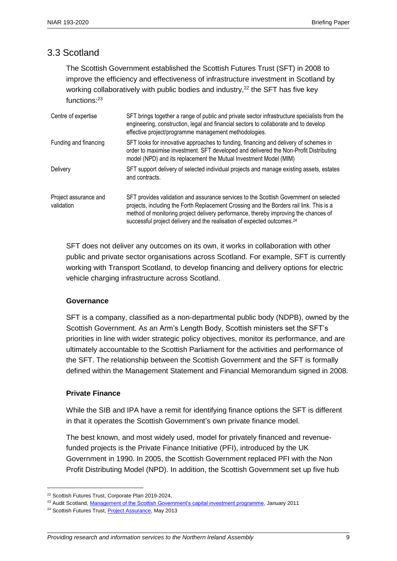## 3.3 Scotland

The Scottish Government established the Scottish Futures Trust (SFT) in 2008 to improve the efficiency and effectiveness of infrastructure investment in Scotland by working collaboratively with public bodies and industry, $22$  the SFT has five key functions:<sup>23</sup>

| Centre of expertise                 | SFT brings together a range of public and private sector infrastructure specialists from the<br>engineering, construction, legal and financial sectors to collaborate and to develop<br>effective project/programme management methodologies.                                                                                                                  |  |  |
|-------------------------------------|----------------------------------------------------------------------------------------------------------------------------------------------------------------------------------------------------------------------------------------------------------------------------------------------------------------------------------------------------------------|--|--|
| Funding and financing               | SFT looks for innovative approaches to funding, financing and delivery of schemes in<br>order to maximise investment. SFT developed and delivered the Non-Profit Distributing<br>model (NPD) and its replacement the Mutual Investment Model (MIM)                                                                                                             |  |  |
| Delivery                            | SFT support delivery of selected individual projects and manage existing assets, estates<br>and contracts.                                                                                                                                                                                                                                                     |  |  |
| Project assurance and<br>validation | SFT provides validation and assurance services to the Scottish Government on selected<br>projects, including the Forth Replacement Crossing and the Borders rail link. This is a<br>method of monitoring project delivery performance, thereby improving the chances of<br>successful project delivery and the realisation of expected outcomes. <sup>24</sup> |  |  |

SFT does not deliver any outcomes on its own, it works in collaboration with other public and private sector organisations across Scotland. For example, SFT is currently working with Transport Scotland, to develop financing and delivery options for electric vehicle charging infrastructure across Scotland.

#### **Governance**

SFT is a company, classified as a non-departmental public body (NDPB), owned by the Scottish Government. As an Arm's Length Body, Scottish ministers set the SFT's priorities in line with wider strategic policy objectives, monitor its performance, and are ultimately accountable to the Scottish Parliament for the activities and performance of the SFT. The relationship between the Scottish Government and the SFT is formally defined within the Management Statement and Financial Memorandum signed in 2008.

#### **Private Finance**

While the SIB and IPA have a remit for identifying finance options the SFT is different in that it operates the Scottish Government's own private finance model.

The best known, and most widely used, model for privately financed and revenuefunded projects is the Private Finance Initiative (PFI), introduced by the UK Government in 1990. In 2005, the Scottish Government replaced PFI with the Non Profit Distributing Model (NPD). In addition, the Scottish Government set up five hub

<sup>22</sup> Scottish Futures Trust, Corporate Plan 2019-2024,

<sup>&</sup>lt;sup>23</sup> Audit Scotland[, Management of the Scottish Government's capital investment programme,](https://www.audit-scotland.gov.uk/docs/central/2010/nr_110127_capital_investment.pdf) January 2011

<sup>&</sup>lt;sup>24</sup> Scottish Futures Trust[, Project Assurance,](https://www.scottishfuturestrust.org.uk/files/publications/Project_Assurance.pdf) May 2013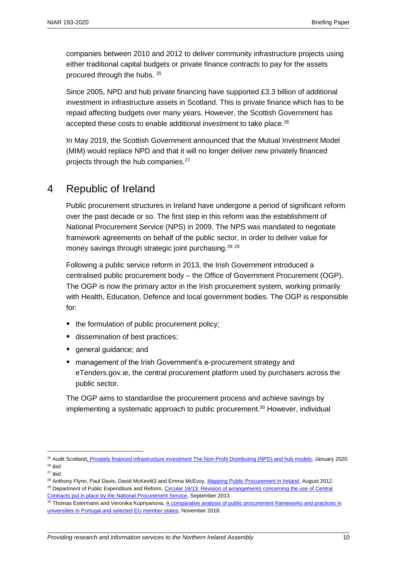companies between 2010 and 2012 to deliver community infrastructure projects using either traditional capital budgets or private finance contracts to pay for the assets procured through the hubs. <sup>25</sup>

Since 2005, NPD and hub private financing have supported £3.3 billion of additional investment in infrastructure assets in Scotland. This is private finance which has to be repaid affecting budgets over many years. However, the Scottish Government has accepted these costs to enable additional investment to take place.<sup>26</sup>

In May 2019, the Scottish Government announced that the Mutual Investment Model (MIM) would replace NPD and that it will no longer deliver new privately financed projects through the hub companies.<sup>27</sup>

## 4 Republic of Ireland

Public procurement structures in Ireland have undergone a period of significant reform over the past decade or so. The first step in this reform was the establishment of National Procurement Service (NPS) in 2009. The NPS was mandated to negotiate framework agreements on behalf of the public sector, in order to deliver value for money savings through strategic joint purchasing.<sup>28</sup> <sup>29</sup>

Following a public service reform in 2013, the Irish Government introduced a centralised public procurement body – the Office of Government Procurement (OGP). The OGP is now the primary actor in the Irish procurement system, working primarily with Health, Education, Defence and local government bodies. The OGP is responsible for:

- the formulation of public procurement policy;
- dissemination of best practices;
- **qeneral quidance; and**
- management of the Irish Government's e-procurement strategy and eTenders.gov.ie, the central procurement platform used by purchasers across the public sector.

The OGP aims to standardise the procurement process and achieve savings by implementing a systematic approach to public procurement.<sup>30</sup> However, individual

<sup>25</sup> Audit Scotlan[d, Privately financed infrastructure investment The Non-Profit Distributing \(NPD\) and hub models,](https://www.audit-scotland.gov.uk/uploads/docs/report/2020/nr_200128_npd_hubs.pdf) January 2020. <sup>26</sup> ibid

 $27$  ibid

<sup>&</sup>lt;sup>28</sup> Anthony Flynn, Paul Davis, David McKevitt3 and Emma McEvoy, [Mapping Public Procurement in Ireland,](http://doras.dcu.ie/20444/1/PPLR_Aug_2012.pdf) August 2012.

<sup>&</sup>lt;sup>29</sup> Department of Public Expenditure and Reform, Circular 16/13: Revision of arrangements concerning the use of Central [Contracts put in place by the National Procurement Service,](https://ogp.gov.ie/986-2/) September 2013.

<sup>30</sup> Thomas Estermann and Veronika Kupriyanova, A comparative analysis of public procurement frameworks and practices in [universities in Portugal and selected EU member states,](https://eua.eu/downloads/publications/eua%20public%20procurement%20report_final_28.11.2018.pdf) November 2018.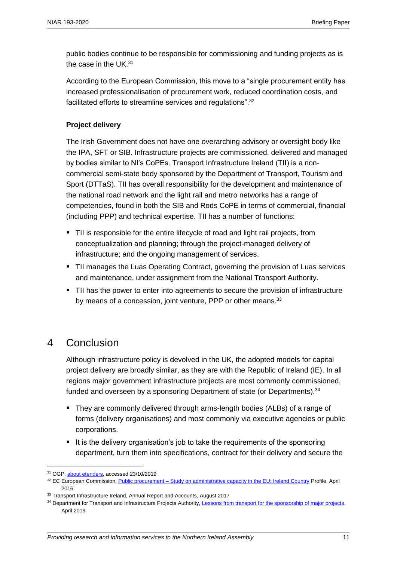public bodies continue to be responsible for commissioning and funding projects as is the case in the UK.<sup>31</sup>

According to the European Commission, this move to a "single procurement entity has increased professionalisation of procurement work, reduced coordination costs, and facilitated efforts to streamline services and regulations".<sup>32</sup>

#### **Project delivery**

The Irish Government does not have one overarching advisory or oversight body like the IPA, SFT or SIB. Infrastructure projects are commissioned, delivered and managed by bodies similar to NI's CoPEs. Transport Infrastructure Ireland (TII) is a noncommercial semi-state body sponsored by the Department of Transport, Tourism and Sport (DTTaS). TII has overall responsibility for the development and maintenance of the national road network and the light rail and metro networks has a range of competencies, found in both the SIB and Rods CoPE in terms of commercial, financial (including PPP) and technical expertise. TII has a number of functions:

- TII is responsible for the entire lifecycle of road and light rail projects, from conceptualization and planning; through the project-managed delivery of infrastructure; and the ongoing management of services.
- TII manages the Luas Operating Contract, governing the provision of Luas services and maintenance, under assignment from the National Transport Authority.
- **TII has the power to enter into agreements to secure the provision of infrastructure** by means of a concession, joint venture, PPP or other means.<sup>33</sup>

## 4 Conclusion

Although infrastructure policy is devolved in the UK, the adopted models for capital project delivery are broadly similar, as they are with the Republic of Ireland (IE). In all regions major government infrastructure projects are most commonly commissioned, funded and overseen by a sponsoring Department of state (or Departments).<sup>34</sup>

- They are commonly delivered through arms-length bodies (ALBs) of a range of forms (delivery organisations) and most commonly via executive agencies or public corporations.
- It is the delivery organisation's job to take the requirements of the sponsoring department, turn them into specifications, contract for their delivery and secure the

<sup>&</sup>lt;sup>31</sup> OGP, [about etenders,](https://www.etenders.gov.ie/about_us_main_en-GB) accessed 23/10/2019

<sup>32</sup> EC European Commission, Public procurement - [Study on administrative capacity in the EU: Ireland Country](https://ec.europa.eu/regional_policy/sources/policy/how/improving-investment/public-procurement/study/country_profile/ie.pdf) Profile, April 2016.

<sup>&</sup>lt;sup>33</sup> Transport Infrastructure Ireland, Annual Report and Accounts, August 2017

<sup>&</sup>lt;sup>34</sup> Department for Transport and Infrastructure Projects Authority, [Lessons from transport for the sponsorship of major projects,](https://assets.publishing.service.gov.uk/government/uploads/system/uploads/attachment_data/file/796294/dft-review-of-lessons.pdf) April 2019